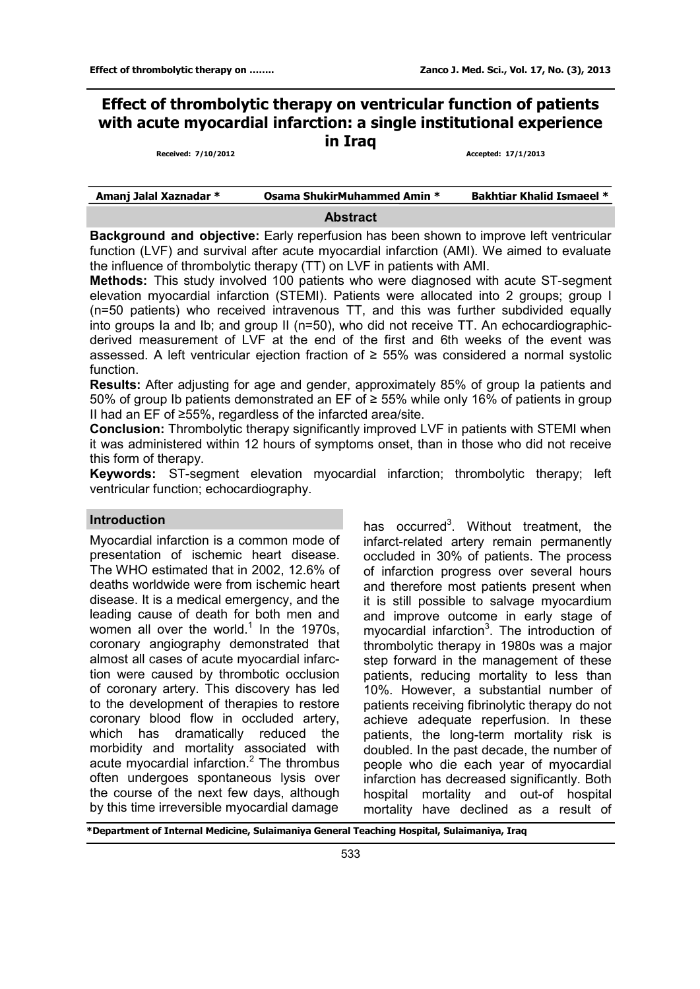# **Effect of thrombolytic therapy on ventricular function of patients with acute myocardial infarction: a single institutional experience in Iraq**

**Received: 7/10/2012 Accepted: 17/1/2013**

| Amanj Jalal Xaznadar * | <b>Osama ShukirMuhammed Amin *</b> | <b>Bakhtiar Khalid Ismaeel *</b> |
|------------------------|------------------------------------|----------------------------------|
|                        |                                    |                                  |

#### **Abstract**

**Background and objective:** Early reperfusion has been shown to improve left ventricular function (LVF) and survival after acute myocardial infarction (AMI). We aimed to evaluate the influence of thrombolytic therapy (TT) on LVF in patients with AMI.

**Methods:** This study involved 100 patients who were diagnosed with acute ST-segment elevation myocardial infarction (STEMI). Patients were allocated into 2 groups; group I (n=50 patients) who received intravenous TT, and this was further subdivided equally into groups Ia and Ib; and group II (n=50), who did not receive TT. An echocardiographicderived measurement of LVF at the end of the first and 6th weeks of the event was assessed. A left ventricular ejection fraction of ≥ 55% was considered a normal systolic function.

**Results:** After adjusting for age and gender, approximately 85% of group Ia patients and 50% of group Ib patients demonstrated an EF of ≥ 55% while only 16% of patients in group II had an EF of ≥55%, regardless of the infarcted area/site.

**Conclusion:** Thrombolytic therapy significantly improved LVF in patients with STEMI when it was administered within 12 hours of symptoms onset, than in those who did not receive this form of therapy.

**Keywords:** ST-segment elevation myocardial infarction; thrombolytic therapy; left ventricular function; echocardiography.

## **Introduction**

Myocardial infarction is a common mode of presentation of ischemic heart disease. The WHO estimated that in 2002, 12.6% of deaths worldwide were from ischemic heart disease. It is a medical emergency, and the leading cause of death for both men and women all over the world. $1$  In the 1970s, coronary angiography demonstrated that almost all cases of acute myocardial infarction were caused by thrombotic occlusion of coronary artery. This discovery has led to the development of therapies to restore coronary blood flow in occluded artery, which has dramatically reduced the morbidity and mortality associated with acute myocardial infarction.<sup>2</sup> The thrombus often undergoes spontaneous lysis over the course of the next few days, although by this time irreversible myocardial damage

has occurred<sup>3</sup>. Without treatment, the infarct-related artery remain permanently occluded in 30% of patients. The process of infarction progress over several hours and therefore most patients present when it is still possible to salvage myocardium and improve outcome in early stage of myocardial infarction<sup>3</sup>. The introduction of thrombolytic therapy in 1980s was a major step forward in the management of these patients, reducing mortality to less than 10%. However, a substantial number of patients receiving fibrinolytic therapy do not achieve adequate reperfusion. In these patients, the long-term mortality risk is doubled. In the past decade, the number of people who die each year of myocardial infarction has decreased significantly. Both hospital mortality and out-of hospital mortality have declined as a result of

**\*Department of Internal Medicine, Sulaimaniya General Teaching Hospital, Sulaimaniya, Iraq**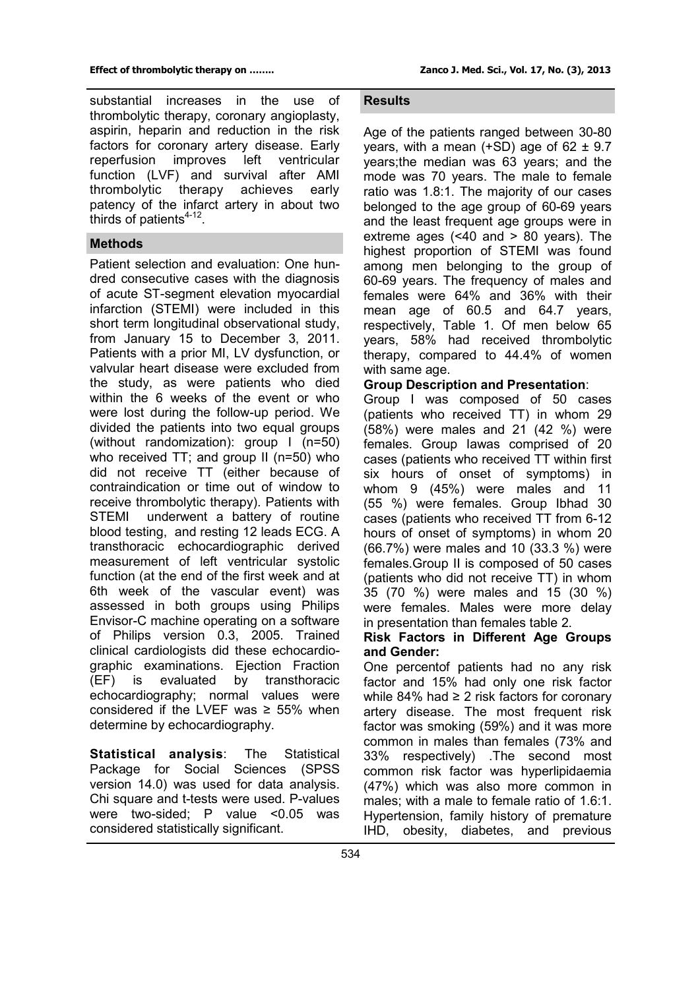substantial increases in the use of thrombolytic therapy, coronary angioplasty, aspirin, heparin and reduction in the risk factors for coronary artery disease. Early<br>reperfusion improves left ventricular reperfusion improves left function (LVF) and survival after AMI thrombolytic therapy achieves early patency of the infarct artery in about two thirds of patients $4-12$ .

#### **Methods**

Patient selection and evaluation: One hundred consecutive cases with the diagnosis of acute ST-segment elevation myocardial infarction (STEMI) were included in this short term longitudinal observational study, from January 15 to December 3, 2011. Patients with a prior MI, LV dysfunction, or valvular heart disease were excluded from the study, as were patients who died within the 6 weeks of the event or who were lost during the follow-up period. We divided the patients into two equal groups (without randomization): group I (n=50) who received TT; and group II (n=50) who did not receive TT (either because of contraindication or time out of window to receive thrombolytic therapy). Patients with STEMI underwent a battery of routine blood testing, and resting 12 leads ECG. A transthoracic echocardiographic derived measurement of left ventricular systolic function (at the end of the first week and at 6th week of the vascular event) was assessed in both groups using Philips Envisor-C machine operating on a software of Philips version 0.3, 2005. Trained clinical cardiologists did these echocardiographic examinations. Ejection Fraction (EF) is evaluated by transthoracic echocardiography; normal values were considered if the LVEF was  $\geq$  55% when determine by echocardiography.

**Statistical analysis**: The Statistical Package for Social Sciences (SPSS version 14.0) was used for data analysis. Chi square and t-tests were used. P-values were two-sided; P value <0.05 was considered statistically significant.

## **Results**

Age of the patients ranged between 30-80 years, with a mean  $(+SD)$  age of 62  $\pm$  9.7 years;the median was 63 years; and the mode was 70 years. The male to female ratio was 1.8:1. The majority of our cases belonged to the age group of 60-69 years and the least frequent age groups were in extreme ages (<40 and > 80 years). The highest proportion of STEMI was found among men belonging to the group of 60-69 years. The frequency of males and females were 64% and 36% with their mean age of 60.5 and 64.7 years, respectively, Table 1. Of men below 65 years, 58% had received thrombolytic therapy, compared to 44.4% of women with same age.

#### **Group Description and Presentation**:

Group I was composed of 50 cases (patients who received TT) in whom 29 (58%) were males and 21 (42 %) were females. Group Iawas comprised of 20 cases (patients who received TT within first six hours of onset of symptoms) in whom 9 (45%) were males and 11 (55 %) were females. Group Ibhad 30 cases (patients who received TT from 6-12 hours of onset of symptoms) in whom 20 (66.7%) were males and 10 (33.3 %) were females.Group II is composed of 50 cases (patients who did not receive TT) in whom 35 (70 %) were males and 15 (30 %) were females. Males were more delay in presentation than females table 2.

#### **Risk Factors in Different Age Groups and Gender:**

One percentof patients had no any risk factor and 15% had only one risk factor while 84% had ≥ 2 risk factors for coronary artery disease. The most frequent risk factor was smoking (59%) and it was more common in males than females (73% and 33% respectively) .The second most common risk factor was hyperlipidaemia (47%) which was also more common in males; with a male to female ratio of 1.6:1. Hypertension, family history of premature IHD, obesity, diabetes, and previous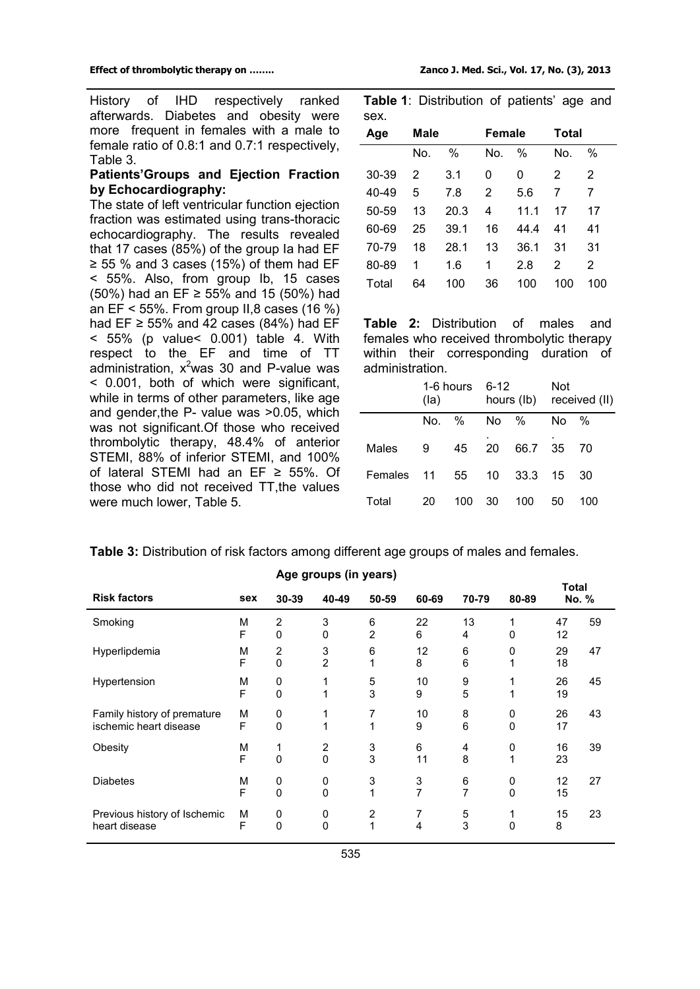History of IHD respectively ranked afterwards. Diabetes and obesity were more frequent in females with a male to female ratio of 0.8:1 and 0.7:1 respectively, Table 3.

## **Patients'Groups and Ejection Fraction by Echocardiography:**

The state of left ventricular function ejection fraction was estimated using trans-thoracic echocardiography. The results revealed that 17 cases (85%) of the group Ia had EF  $\ge$  55 % and 3 cases (15%) of them had EF < 55%. Also, from group Ib, 15 cases (50%) had an EF ≥ 55% and 15 (50%) had an  $EF < 55\%$ . From group II,8 cases (16 %) had  $EF \ge 55\%$  and 42 cases (84%) had  $EF$ < 55% (p value< 0.001) table 4. With respect to the EF and time of TT administration,  $x^2$ was 30 and P-value was < 0.001, both of which were significant, while in terms of other parameters, like age and gender,the P- value was >0.05, which was not significant.Of those who received thrombolytic therapy, 48.4% of anterior STEMI, 88% of inferior STEMI, and 100% of lateral STEMI had an EF ≥ 55%. Of those who did not received TT,the values were much lower, Table 5.

**Table 1**: Distribution of patients' age and sex.

| Age   | Male |      | <b>Female</b> |      | Total |     |  |
|-------|------|------|---------------|------|-------|-----|--|
|       | No.  | $\%$ | No.           | $\%$ | No.   | %   |  |
| 30-39 | 2    | 3.1  | 0             | 0    | 2     | 2   |  |
| 40-49 | 5    | 7.8  | 2             | 5.6  | 7     |     |  |
| 50-59 | 13   | 20.3 | 4             | 11.1 | 17    | 17  |  |
| 60-69 | 25   | 39.1 | 16            | 44.4 | 41    | 41  |  |
| 70-79 | 18   | 28.1 | 13            | 36.1 | 31    | 31  |  |
| 80-89 | 1    | 1.6  | 1             | 2.8  | 2     | 2   |  |
| Total | 64   | 100  | 36            | 100  | 100   | 100 |  |

**Table 2:** Distribution of males and females who received thrombolytic therapy within their corresponding duration of administration.

|            | $1-6$ hours $6-12$<br>(la) |      |         |         | Not<br>hours (lb) received (ll) |     |  |
|------------|----------------------------|------|---------|---------|---------------------------------|-----|--|
|            | No.                        | $\%$ | No $\%$ |         | No.                             | %   |  |
| Males      | -9                         | 45   | 20      | 66.7 35 |                                 | 70  |  |
| Females 11 |                            |      | 55 10   | 33.3    | 15                              | 30  |  |
| Total      | 20                         | 100  | 30      | 100     | 50                              | 100 |  |

|                                                       |        | Age groups (in years)          |                            |                     |                     |         |               |                |    |
|-------------------------------------------------------|--------|--------------------------------|----------------------------|---------------------|---------------------|---------|---------------|----------------|----|
| <b>Risk factors</b>                                   | sex    | 30-39                          | 40-49                      | 50-59               | 60-69               | 70-79   | 80-89         | Total<br>No. % |    |
| Smoking                                               | M<br>F | 2<br>$\mathbf{0}$              | 3<br>$\Omega$              | 6<br>$\overline{2}$ | 22<br>6             | 13<br>4 | 0             | 47<br>12       | 59 |
| Hyperlipdemia                                         | M<br>F | $\overline{2}$<br>$\mathbf{0}$ | 3<br>$\overline{2}$        | 6<br>1              | 12<br>8             | 6<br>6  | 0             | 29<br>18       | 47 |
| Hypertension                                          | M<br>F | 0<br>0                         | 1<br>1                     | 5<br>3              | 10<br>9             | 9<br>5  |               | 26<br>19       | 45 |
| Family history of premature<br>ischemic heart disease | M<br>F | 0<br>$\mathbf{0}$              | 1<br>1                     | 7<br>1              | 10<br>9             | 8<br>6  | 0<br>$\Omega$ | 26<br>17       | 43 |
| Obesity                                               | M<br>F | 0                              | $\overline{2}$<br>$\Omega$ | 3<br>3              | 6<br>11             | 4<br>8  | 0<br>1        | 16<br>23       | 39 |
| <b>Diabetes</b>                                       | M<br>F | 0<br>$\Omega$                  | 0<br>$\Omega$              | 3<br>1              | 3<br>$\overline{7}$ | 6<br>7  | 0<br>$\Omega$ | 12<br>15       | 27 |
| Previous history of Ischemic<br>heart disease         | M<br>F | 0<br>$\mathbf{0}$              | 0<br>$\Omega$              | $\overline{c}$<br>1 | 7<br>4              | 5<br>3  | $\Omega$      | 15<br>8        | 23 |

**Table 3:** Distribution of risk factors among different age groups of males and females.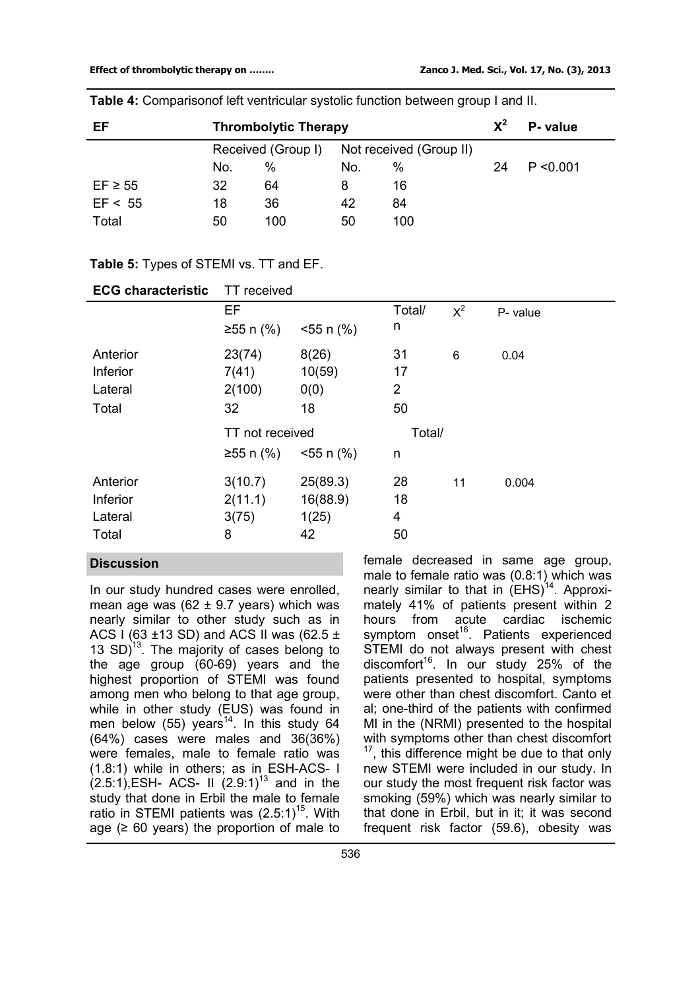| EF           | <b>Thrombolytic Therapy</b> |                    |                         |     |    | P- value  |
|--------------|-----------------------------|--------------------|-------------------------|-----|----|-----------|
|              |                             | Received (Group I) | Not received (Group II) |     |    |           |
|              | No.                         | %                  | No.                     | %   | 24 | P < 0.001 |
| $EF \geq 55$ | 32                          | 64                 | 8                       | 16  |    |           |
| EF < 55      | 18                          | 36                 | 42                      | 84  |    |           |
| Total        | 50                          | 100                | 50                      | 100 |    |           |

**Table 4:** Comparisonof left ventricular systolic function between group I and II.

## **Table 5:** Types of STEMI vs. TT and EF.

| <b>ECG characteristic</b>                | TT received                                           |                                     |                                  |       |          |  |  |
|------------------------------------------|-------------------------------------------------------|-------------------------------------|----------------------------------|-------|----------|--|--|
|                                          | EF<br>$≥55$ n (%)<br>$555 \text{ n}$ (%)              |                                     | Total/<br>n                      | $X^2$ | P- value |  |  |
| Anterior<br>Inferior<br>Lateral<br>Total | 23(74)<br>7(41)<br>2(100)<br>32                       | 8(26)<br>10(59)<br>0(0)<br>18       | 31<br>17<br>$\overline{2}$<br>50 | 6     | 0.04     |  |  |
|                                          | TT not received<br>$≥55$ n (%)<br>$555 \text{ n}$ (%) |                                     | Total/<br>n                      |       |          |  |  |
| Anterior<br>Inferior<br>Lateral<br>Total | 3(10.7)<br>2(11.1)<br>3(75)<br>8                      | 25(89.3)<br>16(88.9)<br>1(25)<br>42 | 28<br>18<br>4<br>50              | 11    | 0.004    |  |  |

## **Discussion**

In our study hundred cases were enrolled, mean age was (62  $\pm$  9.7 years) which was nearly similar to other study such as in ACS I (63 ±13 SD) and ACS II was (62.5 ± 13  $SD$ <sup>13</sup>. The majority of cases belong to the age group (60-69) years and the highest proportion of STEMI was found among men who belong to that age group, while in other study (EUS) was found in men below (55) years<sup>14</sup>. In this study 64 (64%) cases were males and 36(36%) were females, male to female ratio was (1.8:1) while in others; as in ESH-ACS- I  $(2.5:1)$ , ESH- ACS- II  $(2.9:1)^{13}$  and in the study that done in Erbil the male to female ratio in STEMI patients was (2.5:1)<sup>15</sup>. With age  $(≥ 60 years)$  the proportion of male to

female decreased in same age group, male to female ratio was (0.8:1) which was nearly similar to that in  $(EHS)^{14}$ . Approximately 41% of patients present within 2 hours from acute cardiac ischemic symptom onset<sup>16</sup>. Patients experienced STEMI do not always present with chest discomfort<sup>16</sup>. In our study 25% of the patients presented to hospital, symptoms were other than chest discomfort. Canto et al; one-third of the patients with confirmed MI in the (NRMI) presented to the hospital with symptoms other than chest discomfort  $17$ , this difference might be due to that only new STEMI were included in our study. In our study the most frequent risk factor was smoking (59%) which was nearly similar to that done in Erbil, but in it; it was second frequent risk factor (59.6), obesity was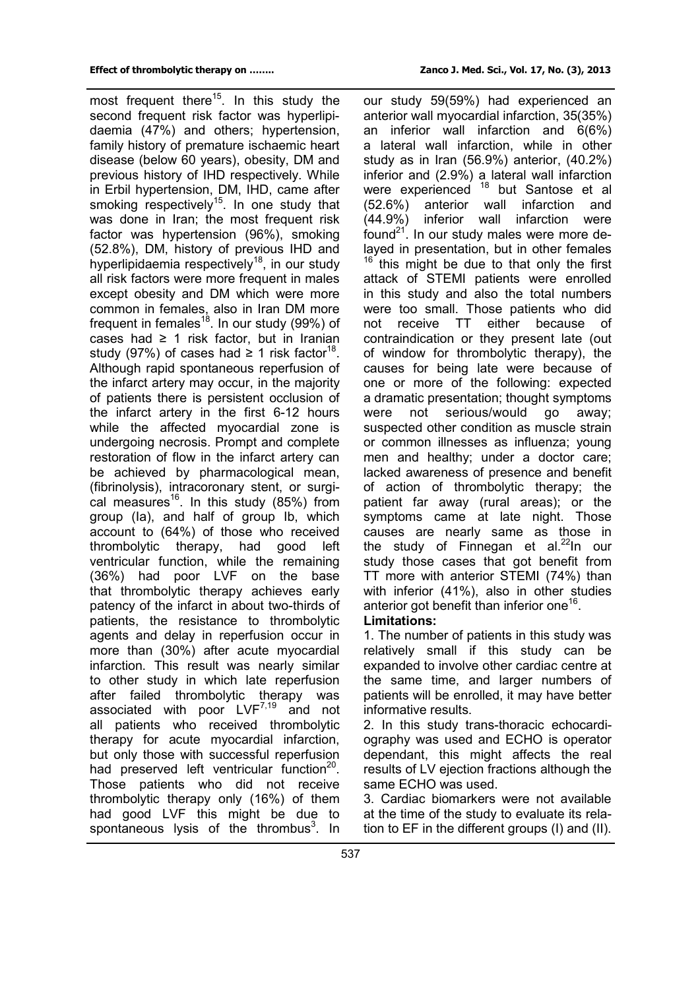most frequent there<sup>15</sup>. In this study the second frequent risk factor was hyperlipidaemia (47%) and others; hypertension, family history of premature ischaemic heart disease (below 60 years), obesity, DM and previous history of IHD respectively. While in Erbil hypertension, DM, IHD, came after smoking respectively<sup>15</sup>. In one study that was done in Iran; the most frequent risk factor was hypertension (96%), smoking (52.8%), DM, history of previous IHD and hyperlipidaemia respectively<sup>18</sup>, in our study all risk factors were more frequent in males except obesity and DM which were more common in females, also in Iran DM more frequent in females<sup>18</sup>. In our study (99%) of cases had  $\geq 1$  risk factor, but in Iranian study (97%) of cases had  $\geq 1$  risk factor<sup>18</sup>. Although rapid spontaneous reperfusion of the infarct artery may occur, in the majority of patients there is persistent occlusion of the infarct artery in the first 6-12 hours while the affected myocardial zone is undergoing necrosis. Prompt and complete restoration of flow in the infarct artery can be achieved by pharmacological mean, (fibrinolysis), intracoronary stent, or surgical measures<sup>16</sup>. In this study  $(85%)$  from group (Ia), and half of group Ib, which account to (64%) of those who received thrombolytic therapy, had good left ventricular function, while the remaining (36%) had poor LVF on the base that thrombolytic therapy achieves early patency of the infarct in about two-thirds of patients, the resistance to thrombolytic agents and delay in reperfusion occur in more than (30%) after acute myocardial infarction. This result was nearly similar to other study in which late reperfusion after failed thrombolytic therapy was associated with poor  $LVF^{7,19}$  and not all patients who received thrombolytic therapy for acute myocardial infarction, but only those with successful reperfusion had preserved left ventricular function<sup>20</sup>. Those patients who did not receive thrombolytic therapy only (16%) of them had good LVF this might be due to spontaneous lysis of the thrombus $3$ . In

our study 59(59%) had experienced an anterior wall myocardial infarction, 35(35%) an inferior wall infarction and 6(6%) a lateral wall infarction, while in other study as in Iran (56.9%) anterior, (40.2%) inferior and (2.9%) a lateral wall infarction were experienced <sup>18</sup> but Santose et al (52.6%) anterior wall infarction and (44.9%) inferior wall infarction were found $^{21}$ . In our study males were more delayed in presentation, but in other females  $16$  this might be due to that only the first attack of STEMI patients were enrolled in this study and also the total numbers were too small. Those patients who did not receive TT either because of contraindication or they present late (out of window for thrombolytic therapy), the causes for being late were because of one or more of the following: expected a dramatic presentation; thought symptoms were not serious/would go away; suspected other condition as muscle strain or common illnesses as influenza; young men and healthy; under a doctor care; lacked awareness of presence and benefit of action of thrombolytic therapy; the patient far away (rural areas); or the symptoms came at late night. Those causes are nearly same as those in the study of Finnegan et al. $^{22}$ In our study those cases that got benefit from TT more with anterior STEMI (74%) than with inferior (41%), also in other studies anterior got benefit than inferior one<sup>16</sup>.

## **Limitations:**

1. The number of patients in this study was relatively small if this study can be expanded to involve other cardiac centre at the same time, and larger numbers of patients will be enrolled, it may have better informative results.

2. In this study trans-thoracic echocardiography was used and ECHO is operator dependant, this might affects the real results of LV ejection fractions although the same ECHO was used.

3. Cardiac biomarkers were not available at the time of the study to evaluate its relation to EF in the different groups (I) and (II).